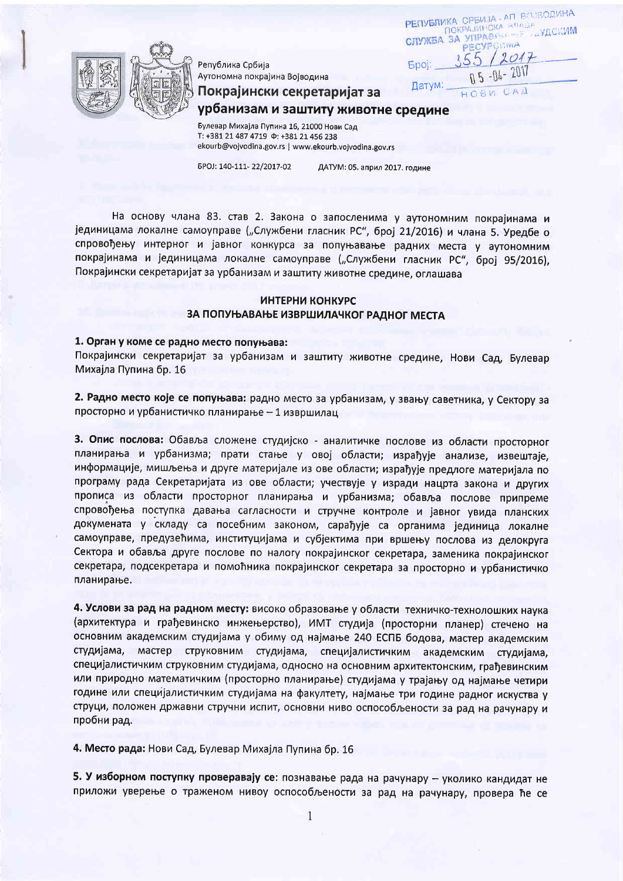Република Србија Аутономна покрајина Војводина

Покрајински секретаријат за

РЕПУБЛИКА СРБИЈА АП ВОЈВОДИНА ПОКРАЈИНСКА ВЛАДА CITYXEA 3A VITPABILLE PECYPOLINIA **Fool:**  $H G B V$ 

урбанизам и заштиту животне средине

Булевар Михајла Пупина 16, 21000 Нови Сад T: +381 21 487 4719 Φ: +381 21 456 238 ekourb@vojvodina.gov.rs | www.ekourb.vojvodina.gov.rs

5POJ: 140-111-22/2017-02

ДАТУМ: 05. април 2017. године

На основу члана 83. став 2. Закона о запосленима у аутономним покрајинама и јединицама локалне самоуправе ("Службени гласник РС", број 21/2016) и члана 5. Уредбе о спровођењу интерног и јавног конкурса за попуњавање радних места у аутономним покрајинама и јединицама локалне самоуправе ("Службени гласник РС", број 95/2016), Покрајински секретаријат за урбанизам и заштиту животне средине, оглашава

## ИНТЕРНИ КОНКУРС ЗА ПОПУЊАВАЊЕ ИЗВРШИЛАЧКОГ РАДНОГ МЕСТА

## 1. Орган у коме се радно место попуњава:

Покрајински секретаријат за урбанизам и заштиту животне средине, Нови Сад, Булевар Михајла Пупина бр. 16

2. Радно место које се попуњава: радно место за урбанизам, у звању саветника, у Сектору за просторно и урбанистичко планирање - 1 извршилац

3. Опис послова: Обавља сложене студијско - аналитичке послове из области просторног планирања и урбанизма; прати стање у овој области; израђује анализе, извештаје, информације, мишљења и друге материјале из ове области; израђује предлоге материјала по програму рада Секретаријата из ове области; учествује у изради нацрта закона и других прописа из области просторног планирања и урбанизма; обавља послове припреме спровођења поступка давања сагласности и стручне контроле и јавног увида планских докумената у складу са посебним законом, сарађује са органима јединица локалне самоуправе, предузећима, институцијама и субјектима при вршењу послова из делокруга Сектора и обавља друге послове по налогу покрајинског секретара, заменика покрајинског секретара, подсекретара и помоћника покрајинског секретара за просторно и урбанистичко планирање.

4. Услови за рад на радном месту: високо образовање у области техничко-технолошких наука (архитектура и грађевинско инжењерство), ИМТ студија (просторни планер) стечено на основним академским студијама у обиму од најмање 240 ЕСПБ бодова, мастер академским студијама, мастер струковним студијама, специјалистичким академским студијама, специјалистичким струковним студијама, односно на основним архитектонским, грађевинским или природно математичким (просторно планирање) студијама у трајању од најмање четири године или специјалистичким студијама на факултету, најмање три године радног искуства у струци, положен државни стручни испит, основни ниво оспособљености за рад на рачунару и пробни рад.

4. Место рада: Нови Сад, Булевар Михајла Пупина бр. 16

5. У изборном поступку проверавају се: познавање рада на рачунару - уколико кандидат не приложи уверење о траженом нивоу оспособљености за рад на рачунару, провера ће се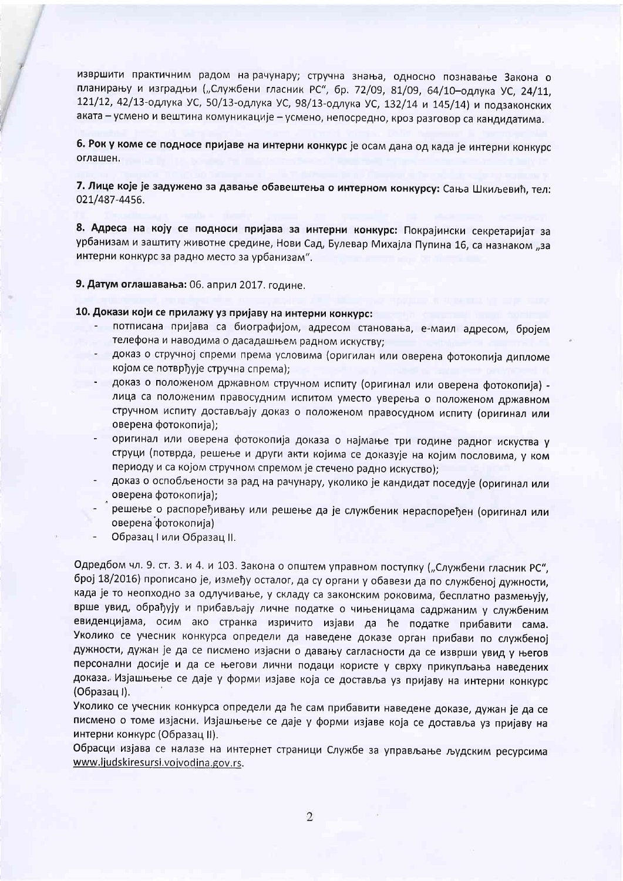извршити практичним радом на рачунару; стручна знања, односно познавање Закона о планирању и изградњи ("Службени гласник РС", бр. 72/09, 81/09, 64/10-одлука УС, 24/11, 121/12, 42/13-одлука УС, 50/13-одлука УС, 98/13-одлука УС, 132/14 и 145/14) и подзаконских аката – усмено и вештина комуникације – усмено, непосредно, кроз разговор са кандидатима.

6. Рок у коме се подносе пријаве на интерни конкурс је осам дана од када је интерни конкурс оглашен.

7. Лице које је задужено за давање обавештења о интерном конкурсу: Сања Шкиљевић, тел: 021/487-4456.

8. Адреса на коју се подноси пријава за интерни конкурс: Покрајински секретаријат за урбанизам и заштиту животне средине, Нови Сад, Булевар Михајла Пупина 16, са назнаком "за интерни конкурс за радно место за урбанизам".

9. Датум оглашавања: 06. април 2017. године.

10. Докази који се прилажу уз пријаву на интерни конкурс:

- потписана пријава са биографијом, адресом становања, е-маил адресом, бројем телефона и наводима о дасадашњем радном искуству;
- доказ о стручној спреми према условима (оригилан или оверена фотокопија дипломе којом се потврђује стручна спрема);
- доказ о положеном државном стручном испиту (оригинал или оверена фотокопија) лица са положеним правосудним испитом уместо уверења о положеном државном стручном испиту достављају доказ о положеном правосудном испиту (оригинал или оверена фотокопија);
- оригинал или оверена фотокопија доказа о најмање три године радног искуства у струци (потврда, решење и други акти којима се доказује на којим пословима, у ком периоду и са којом стручном спремом је стечено радно искуство);
- доказ о оспобљености за рад на рачунару, уколико је кандидат поседује (оригинал или оверена фотокопија);
- решење о распоређивању или решење да је службеник нераспоређен (оригинал или оверена фотокопија)
- Образац I или Образац II.

Одредбом чл. 9. ст. 3. и 4. и 103. Закона о општем управном поступку ("Службени гласник РС", број 18/2016) прописано је, између осталог, да су органи у обавези да по службеној дужности, када је то неопходно за одлучивање, у складу са законским роковима, бесплатно размењују, врше увид, обрађују и прибављају личне податке о чињеницама садржаним у службеним евиденцијама, осим ако странка изричито изјави да ће податке прибавити сама. Уколико се учесник конкурса определи да наведене доказе орган прибави по службеној дужности, дужан је да се писмено изјасни о давању сагласности да се изврши увид у његов персонални досије и да се његови лични подаци користе у сврху прикупљања наведених доказа. Изјашњење се даје у форми изјаве која се доставља уз пријаву на интерни конкурс (Образац I).

Уколико се учесник конкурса определи да ће сам прибавити наведене доказе, дужан је да се писмено о томе изјасни. Изјашњење се даје у форми изјаве која се доставља уз пријаву на интерни конкурс (Образац II).

Обрасци изјава се налазе на интернет страници Службе за управљање људским ресурсима www.ljudskiresursi.vojvodina.gov.rs.